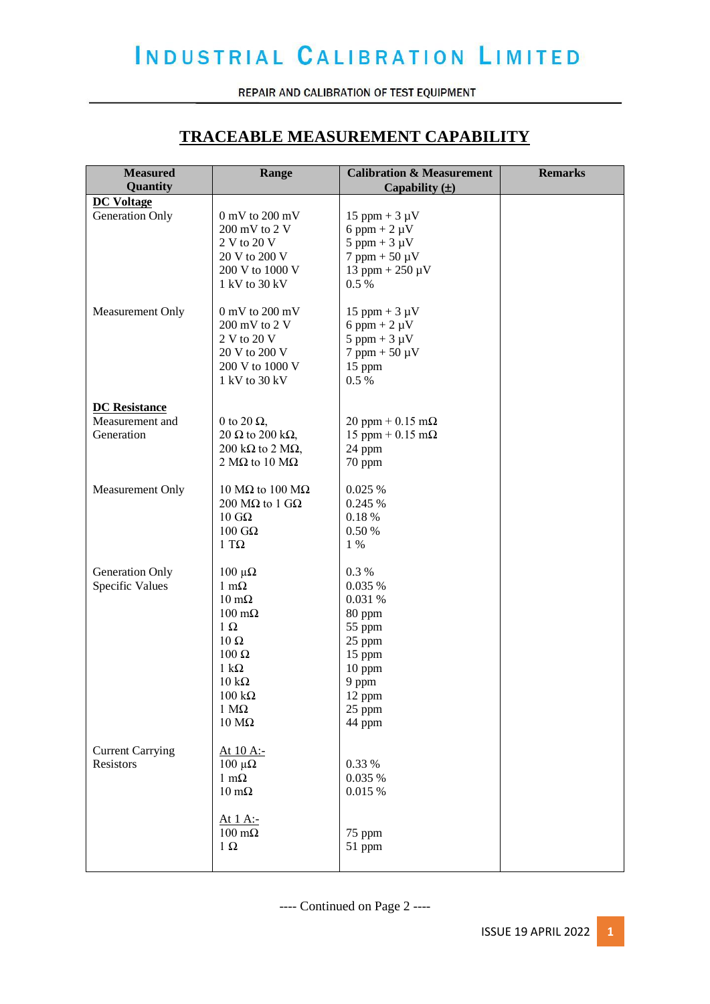REPAIR AND CALIBRATION OF TEST EQUIPMENT

### **TRACEABLE MEASUREMENT CAPABILITY**

| <b>Measured</b><br>Quantity          | Range                                                                                                                                                                                                                                       | <b>Calibration &amp; Measurement</b><br>Capability $(\pm)$                                                                 | <b>Remarks</b> |
|--------------------------------------|---------------------------------------------------------------------------------------------------------------------------------------------------------------------------------------------------------------------------------------------|----------------------------------------------------------------------------------------------------------------------------|----------------|
| <b>DC Voltage</b>                    |                                                                                                                                                                                                                                             |                                                                                                                            |                |
| Generation Only                      | $0$ mV to $200$ mV<br>200 mV to 2 V<br>2 V to 20 V<br>20 V to 200 V<br>200 V to 1000 V<br>1 kV to 30 kV                                                                                                                                     | $15$ ppm + 3 $\mu$ V<br>6 ppm + $2 \mu V$<br>$5$ ppm + $3 \mu V$<br>$7$ ppm + 50 $\mu$ V<br>$13$ ppm + $250 \mu V$<br>0.5% |                |
| Measurement Only                     | $0~\mathrm{mV}$ to $200~\mathrm{mV}$<br>200 mV to 2 V<br>2 V to 20 V<br>20 V to 200 V<br>200 V to 1000 V<br>1 kV to 30 kV                                                                                                                   | $15$ ppm + 3 $\mu$ V<br>6 ppm + $2 \mu V$<br>$5$ ppm + $3 \mu V$<br>$7$ ppm + 50 $\mu$ V<br>15 ppm<br>0.5%                 |                |
| <b>DC</b> Resistance                 |                                                                                                                                                                                                                                             |                                                                                                                            |                |
| Measurement and<br>Generation        | 0 to 20 $\Omega$ ,<br>20 $\Omega$ to 200 k $\Omega$ ,<br>200 k $\Omega$ to 2 M $\Omega$ ,<br>2 M $\Omega$ to 10 M $\Omega$                                                                                                                  | 20 ppm + $0.15$ m $\Omega$<br>15 ppm + $0.15$ m $\Omega$<br>24 ppm<br>70 ppm                                               |                |
| Measurement Only                     | 10 MΩ to 100 MΩ<br>200 MΩ to 1 GΩ<br>$10$ GΩ<br>$100$ GΩ<br>1 T $\Omega$                                                                                                                                                                    | 0.025 %<br>0.245 %<br>0.18%<br>0.50 %<br>1 %                                                                               |                |
| Generation Only<br>Specific Values   | $100 \muΩ$<br>$1 \text{ m}\Omega$<br>$10 \text{ m}\Omega$<br>$100 \text{ m}\Omega$<br>$1 \Omega$<br>$10 \Omega$<br>$100$ Ω<br>$1 \text{ k}\Omega$<br>$10 \text{ k}\Omega$<br>$100 \text{ k}\Omega$<br>$1 M\Omega$<br>$10\ \mathrm{M}\Omega$ | 0.3%<br>0.035 %<br>0.031 %<br>80 ppm<br>55 ppm<br>25 ppm<br>15 ppm<br>10 ppm<br>9 ppm<br>12 ppm<br>25 ppm<br>44 ppm        |                |
| <b>Current Carrying</b><br>Resistors | At 10 A:-<br>$100 \muΩ$<br>$1 \text{ m}\Omega$<br>$10 \text{ m}\Omega$<br><u>At 1 A:-</u><br>$100 \text{ m}\Omega$<br>$1 \Omega$                                                                                                            | 0.33 %<br>0.035 %<br>0.015%<br>75 ppm<br>51 ppm                                                                            |                |
|                                      |                                                                                                                                                                                                                                             |                                                                                                                            |                |

---- Continued on Page 2 ----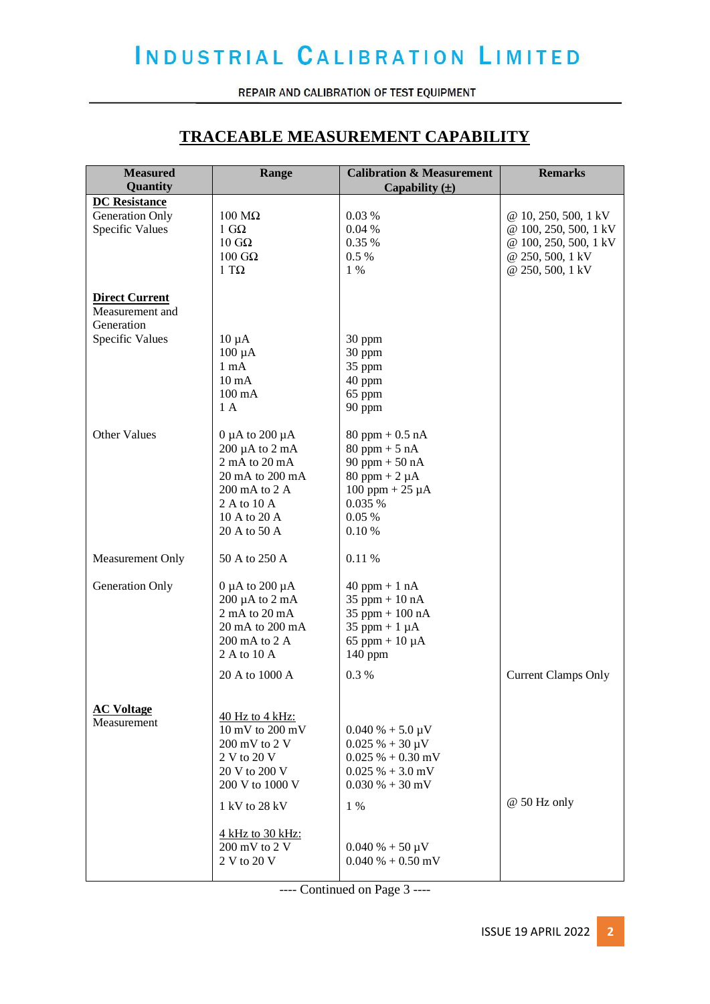REPAIR AND CALIBRATION OF TEST EQUIPMENT

### **TRACEABLE MEASUREMENT CAPABILITY**

| <b>Measured</b>                    | Range                             | <b>Calibration &amp; Measurement</b> | <b>Remarks</b>                                |
|------------------------------------|-----------------------------------|--------------------------------------|-----------------------------------------------|
| Quantity                           |                                   | Capability $(\pm)$                   |                                               |
| <b>DC</b> Resistance               |                                   |                                      |                                               |
| Generation Only<br>Specific Values | $100$ MΩ<br>$1 \text{ G}\Omega$   | 0.03%<br>0.04%                       | @ 10, 250, 500, 1 kV<br>@ 100, 250, 500, 1 kV |
|                                    | $10 \text{ } \text{G} \Omega$     | 0.35%                                | @ 100, 250, 500, 1 kV                         |
|                                    | $100$ GΩ                          | 0.5%                                 | @ 250, 500, 1 kV                              |
|                                    | $1 T\Omega$                       | $1\%$                                | @ 250, 500, 1 kV                              |
|                                    |                                   |                                      |                                               |
| <b>Direct Current</b>              |                                   |                                      |                                               |
| Measurement and                    |                                   |                                      |                                               |
| Generation                         |                                   |                                      |                                               |
| Specific Values                    | $10 \mu A$                        | 30 ppm                               |                                               |
|                                    | $100 \mu A$                       | 30 ppm                               |                                               |
|                                    | $1 \text{ mA}$                    | 35 ppm                               |                                               |
|                                    | $10 \text{ mA}$                   | 40 ppm                               |                                               |
|                                    | $100 \text{ mA}$                  | 65 ppm                               |                                               |
|                                    | 1A                                | 90 ppm                               |                                               |
| Other Values                       | $0 \mu A$ to $200 \mu A$          | $80$ ppm + 0.5 nA                    |                                               |
|                                    | $200 \mu A$ to $2 \mu A$          | $80$ ppm + 5 nA                      |                                               |
|                                    | $2 \text{ mA}$ to $20 \text{ mA}$ | 90 ppm $+ 50$ nA                     |                                               |
|                                    | 20 mA to 200 mA                   | $80$ ppm + 2 $\mu$ A                 |                                               |
|                                    | 200 mA to 2 A                     | $100$ ppm + $25 \mu A$               |                                               |
|                                    | 2 A to 10 A                       | 0.035 %                              |                                               |
|                                    | 10 A to 20 A                      | 0.05%                                |                                               |
|                                    | 20 A to 50 A                      | 0.10%                                |                                               |
| Measurement Only                   | 50 A to 250 A                     | 0.11 %                               |                                               |
| Generation Only                    | 0 $\mu$ A to 200 $\mu$ A          | $40$ ppm + 1 nA                      |                                               |
|                                    | $200 \mu A$ to $2 \mu A$          | $35$ ppm + 10 nA                     |                                               |
|                                    | 2 mA to 20 mA                     | 35 ppm $+100$ nA                     |                                               |
|                                    | 20 mA to 200 mA                   | 35 ppm + $1 \mu A$                   |                                               |
|                                    | 200 mA to 2 A                     | 65 ppm + $10 \mu A$                  |                                               |
|                                    | 2 A to 10 A                       | 140 ppm                              |                                               |
|                                    | 20 A to 1000 A                    | 0.3%                                 | <b>Current Clamps Only</b>                    |
|                                    |                                   |                                      |                                               |
| <b>AC Voltage</b>                  |                                   |                                      |                                               |
| Measurement                        | 40 Hz to 4 kHz:                   |                                      |                                               |
|                                    | 10 mV to 200 mV                   | $0.040\% + 5.0\,\mu\text{V}$         |                                               |
|                                    | $200 \text{ mV}$ to $2 \text{V}$  | $0.025% + 30 \mu V$                  |                                               |
|                                    | 2 V to 20 V                       | $0.025\% + 0.30$ mV                  |                                               |
|                                    | 20 V to 200 V                     | $0.025\% + 3.0$ mV                   |                                               |
|                                    | 200 V to 1000 V                   | $0.030\% + 30$ mV                    |                                               |
|                                    | 1 kV to 28 kV                     | 1 %                                  | @ 50 Hz only                                  |
|                                    | 4 kHz to 30 kHz:                  |                                      |                                               |
|                                    | 200 mV to 2 V                     | $0.040\% + 50 \,\mu\text{V}$         |                                               |
|                                    | 2 V to 20 V                       | $0.040\% + 0.50$ mV                  |                                               |
|                                    |                                   |                                      |                                               |

---- Continued on Page 3 ----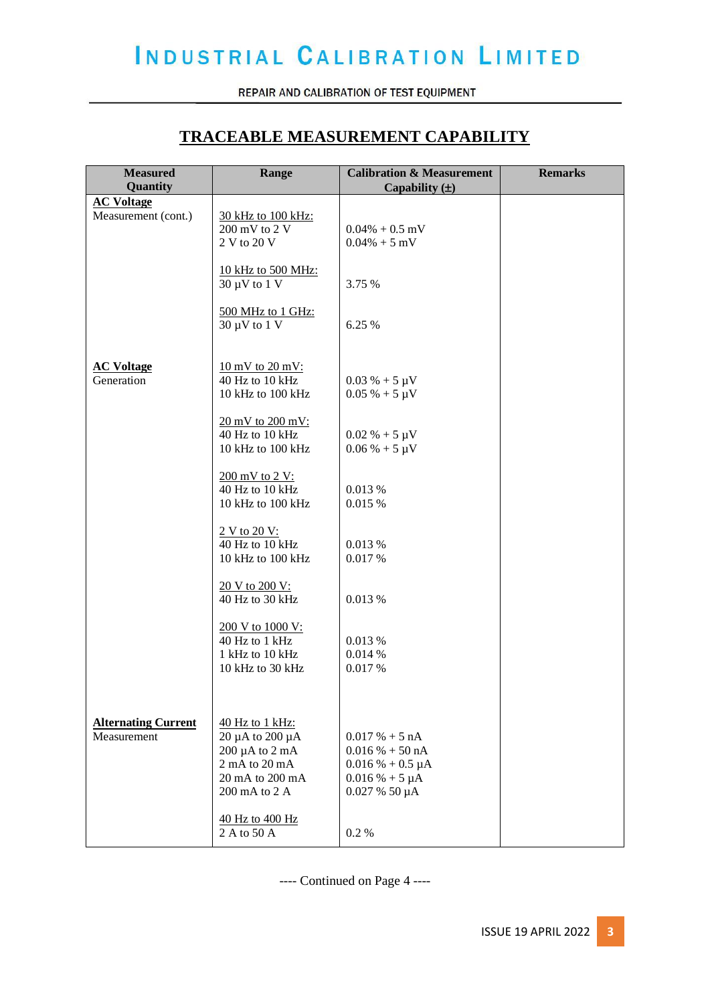REPAIR AND CALIBRATION OF TEST EQUIPMENT

### **TRACEABLE MEASUREMENT CAPABILITY**

| <b>Measured</b><br>Quantity | Range                                | <b>Calibration &amp; Measurement</b><br>Capability $(\pm)$ | <b>Remarks</b> |
|-----------------------------|--------------------------------------|------------------------------------------------------------|----------------|
| <b>AC Voltage</b>           |                                      |                                                            |                |
| Measurement (cont.)         | 30 kHz to 100 kHz:                   |                                                            |                |
|                             | 200 mV to 2 V                        | $0.04\% + 0.5$ mV                                          |                |
|                             | 2 V to 20 V                          | $0.04\% + 5$ mV                                            |                |
|                             |                                      |                                                            |                |
|                             | 10 kHz to 500 MHz:                   |                                                            |                |
|                             | $30 \mu V$ to $1 V$                  | 3.75 %                                                     |                |
|                             |                                      |                                                            |                |
|                             | 500 MHz to 1 GHz:                    |                                                            |                |
|                             | $30 \mu V$ to $1 V$                  | 6.25 %                                                     |                |
|                             |                                      |                                                            |                |
| <b>AC Voltage</b>           | $10 \text{ mV}$ to $20 \text{ mV}$ : |                                                            |                |
| Generation                  | 40 Hz to 10 kHz                      | $0.03\% + 5 \mu V$                                         |                |
|                             | 10 kHz to 100 kHz                    | $0.05\% + 5 \mu V$                                         |                |
|                             |                                      |                                                            |                |
|                             | 20 mV to 200 mV:                     |                                                            |                |
|                             | 40 Hz to 10 kHz                      | $0.02\% + 5 \mu V$                                         |                |
|                             | 10 kHz to 100 kHz                    | $0.06\% + 5 \mu V$                                         |                |
|                             |                                      |                                                            |                |
|                             | 200 mV to 2 V:                       |                                                            |                |
|                             | 40 Hz to 10 kHz                      | 0.013 %                                                    |                |
|                             | 10 kHz to 100 kHz                    | 0.015%                                                     |                |
|                             |                                      |                                                            |                |
|                             | 2 V to 20 V:                         |                                                            |                |
|                             | 40 Hz to 10 kHz<br>10 kHz to 100 kHz | 0.013 %<br>0.017%                                          |                |
|                             |                                      |                                                            |                |
|                             | 20 V to 200 V:                       |                                                            |                |
|                             | 40 Hz to 30 kHz                      | 0.013 %                                                    |                |
|                             |                                      |                                                            |                |
|                             | 200 V to 1000 V:                     |                                                            |                |
|                             | 40 Hz to 1 kHz                       | 0.013 %                                                    |                |
|                             | 1 kHz to 10 kHz                      | 0.014%                                                     |                |
|                             | 10 kHz to 30 kHz                     | 0.017 %                                                    |                |
|                             |                                      |                                                            |                |
|                             |                                      |                                                            |                |
| <b>Alternating Current</b>  | 40 Hz to 1 kHz:                      |                                                            |                |
| Measurement                 | $20 \mu A$ to $200 \mu A$            | $0.017\% + 5 \text{ nA}$                                   |                |
|                             | $200 \mu A$ to $2 \mu A$             | $0.016\% + 50\text{ nA}$                                   |                |
|                             | 2 mA to 20 mA                        | $0.016 % + 0.5 \mu A$                                      |                |
|                             | 20 mA to 200 mA                      | $0.016\% + 5 \mu A$                                        |                |
|                             | 200 mA to 2 A                        | $0.027\%50\,\mu A$                                         |                |
|                             |                                      |                                                            |                |
|                             | 40 Hz to 400 Hz                      |                                                            |                |
|                             | 2 A to 50 A                          | 0.2 %                                                      |                |

---- Continued on Page 4 ----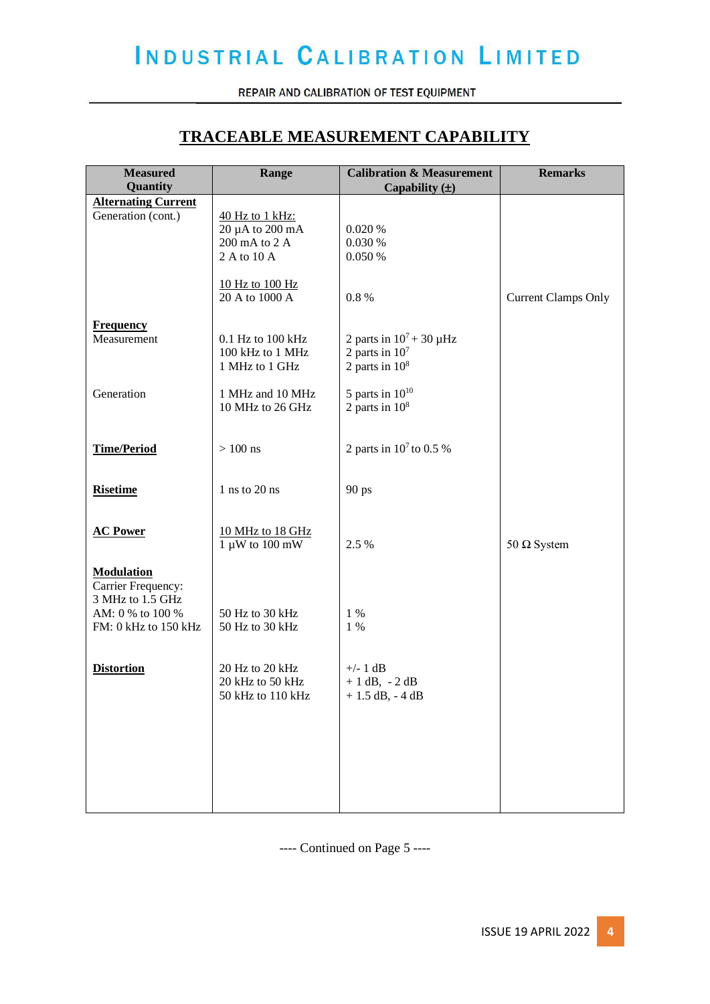REPAIR AND CALIBRATION OF TEST EQUIPMENT

### **TRACEABLE MEASUREMENT CAPABILITY**

| <b>Measured</b><br>Quantity | Range                          | <b>Calibration &amp; Measurement</b><br>Capability $(\pm)$ | <b>Remarks</b>             |
|-----------------------------|--------------------------------|------------------------------------------------------------|----------------------------|
| <b>Alternating Current</b>  |                                |                                                            |                            |
| Generation (cont.)          | 40 Hz to 1 kHz:                |                                                            |                            |
|                             | $20 \mu A$ to $200 \text{ mA}$ | 0.020%                                                     |                            |
|                             | 200 mA to 2 A                  | 0.030 %                                                    |                            |
|                             | 2 A to 10 A                    | 0.050%                                                     |                            |
|                             |                                |                                                            |                            |
|                             |                                |                                                            |                            |
|                             | 10 Hz to 100 Hz                |                                                            |                            |
|                             | 20 A to 1000 A                 | 0.8 %                                                      | <b>Current Clamps Only</b> |
|                             |                                |                                                            |                            |
| <b>Frequency</b>            |                                |                                                            |                            |
| Measurement                 | 0.1 Hz to 100 kHz              | 2 parts in $10^7 + 30 \mu$ Hz                              |                            |
|                             | 100 kHz to 1 MHz               | 2 parts in $107$                                           |                            |
|                             | 1 MHz to 1 GHz                 | 2 parts in $10^8$                                          |                            |
|                             |                                |                                                            |                            |
| Generation                  | 1 MHz and 10 MHz               | 5 parts in $10^{10}$                                       |                            |
|                             | 10 MHz to 26 GHz               | 2 parts in $10^8$                                          |                            |
|                             |                                |                                                            |                            |
|                             |                                |                                                            |                            |
| <b>Time/Period</b>          | $>100$ ns                      | 2 parts in $10^7$ to 0.5 %                                 |                            |
|                             |                                |                                                            |                            |
|                             |                                |                                                            |                            |
| <b>Risetime</b>             | 1 ns to 20 ns                  | 90 ps                                                      |                            |
|                             |                                |                                                            |                            |
|                             |                                |                                                            |                            |
| <b>AC Power</b>             | 10 MHz to 18 GHz               |                                                            |                            |
|                             | $1 \mu W$ to $100 \text{ mW}$  | 2.5 %                                                      | 50 $\Omega$ System         |
|                             |                                |                                                            |                            |
| <b>Modulation</b>           |                                |                                                            |                            |
| Carrier Frequency:          |                                |                                                            |                            |
| 3 MHz to 1.5 GHz            |                                |                                                            |                            |
| AM: 0 % to 100 %            | 50 Hz to 30 kHz                | $1\%$                                                      |                            |
| FM: 0 kHz to 150 kHz        | 50 Hz to 30 kHz                | $1\%$                                                      |                            |
|                             |                                |                                                            |                            |
|                             |                                |                                                            |                            |
| <b>Distortion</b>           | 20 Hz to 20 kHz                | $+/- 1 dB$                                                 |                            |
|                             | 20 kHz to 50 kHz               | $+1$ dB, $-2$ dB                                           |                            |
|                             | 50 kHz to 110 kHz              | $+1.5$ dB, $-4$ dB                                         |                            |
|                             |                                |                                                            |                            |
|                             |                                |                                                            |                            |
|                             |                                |                                                            |                            |
|                             |                                |                                                            |                            |
|                             |                                |                                                            |                            |
|                             |                                |                                                            |                            |
|                             |                                |                                                            |                            |
|                             |                                |                                                            |                            |
|                             |                                |                                                            |                            |

---- Continued on Page 5 ----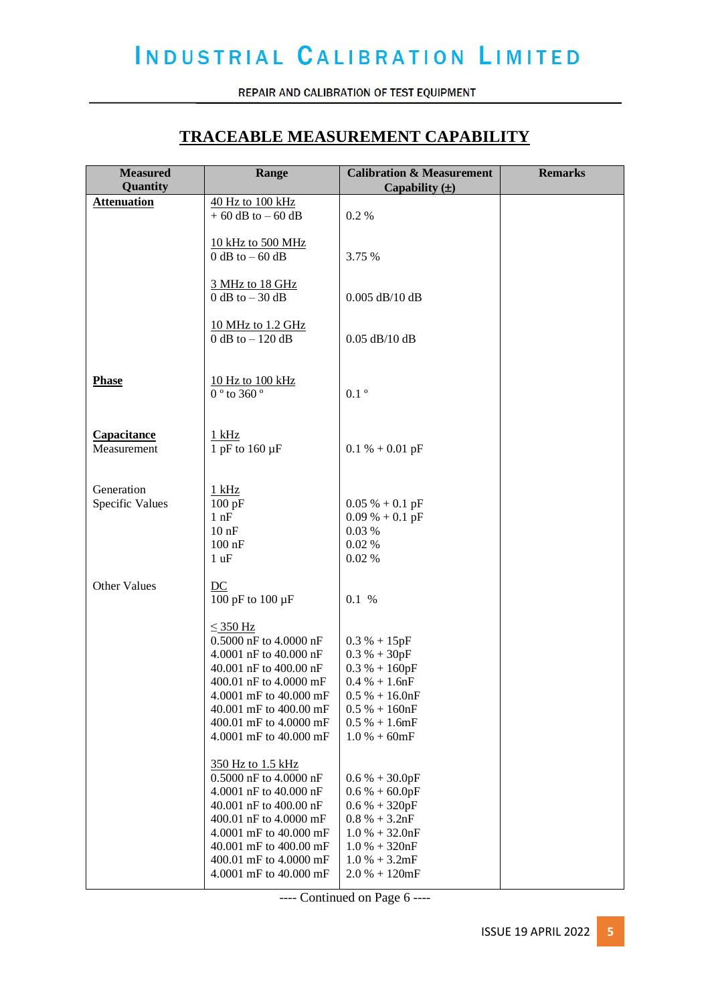REPAIR AND CALIBRATION OF TEST EQUIPMENT

### **TRACEABLE MEASUREMENT CAPABILITY**

| <b>Measured</b><br>Quantity   | Range                                                                                                                                                                                                                             | <b>Calibration &amp; Measurement</b><br>Capability $(\pm)$                                                                                              | <b>Remarks</b> |
|-------------------------------|-----------------------------------------------------------------------------------------------------------------------------------------------------------------------------------------------------------------------------------|---------------------------------------------------------------------------------------------------------------------------------------------------------|----------------|
| <b>Attenuation</b>            | 40 Hz to 100 kHz<br>$+60$ dB to $-60$ dB                                                                                                                                                                                          | 0.2 %                                                                                                                                                   |                |
|                               |                                                                                                                                                                                                                                   |                                                                                                                                                         |                |
|                               | 10 kHz to 500 MHz<br>$0$ dB to $-60$ dB                                                                                                                                                                                           | 3.75 %                                                                                                                                                  |                |
|                               |                                                                                                                                                                                                                                   |                                                                                                                                                         |                |
|                               | 3 MHz to 18 GHz<br>$0$ dB to $-30$ dB                                                                                                                                                                                             | $0.005$ dB/10 dB                                                                                                                                        |                |
|                               | 10 MHz to 1.2 GHz<br>$0$ dB to $-120$ dB                                                                                                                                                                                          | $0.05$ dB/10 dB                                                                                                                                         |                |
| <b>Phase</b>                  | 10 Hz to 100 kHz<br>0 $^{\circ}$ to 360 $^{\circ}$                                                                                                                                                                                | $0.1$ $^{\circ}$                                                                                                                                        |                |
| Capacitance<br>Measurement    | $1$ kHz<br>1 pF to $160 \mu F$                                                                                                                                                                                                    | $0.1 % + 0.01 pF$                                                                                                                                       |                |
| Generation<br>Specific Values | $1$ kHz<br>100 pF<br>1 nF<br>$10$ nF<br>$100$ nF<br>1 uF                                                                                                                                                                          | $0.05\% + 0.1pF$<br>$0.09\% + 0.1$ pF<br>0.03%<br>0.02%<br>$0.02~\%$                                                                                    |                |
| <b>Other Values</b>           | DC<br>100 pF to 100 µF                                                                                                                                                                                                            | 0.1 %                                                                                                                                                   |                |
|                               | $\leq$ 350 Hz<br>0.5000 nF to 4.0000 nF<br>4.0001 nF to 40.000 nF<br>40.001 nF to 400.00 nF<br>400.01 nF to 4.0000 mF<br>4.0001 mF to 40.000 mF<br>40.001 mF to 400.00 mF<br>400.01 mF to 4.0000 mF<br>4.0001 mF to 40.000 mF     | $0.3 % + 15pF$<br>$0.3 % + 30pF$<br>$0.3 % + 160pF$<br>$0.4 % + 1.6nF$<br>$0.5\% + 16.0$ nF<br>$0.5 % + 160nF$<br>$0.5 % + 1.6mF$<br>$1.0 % + 60mF$     |                |
|                               | 350 Hz to 1.5 kHz<br>0.5000 nF to 4.0000 nF<br>4.0001 nF to 40.000 nF<br>40.001 nF to 400.00 nF<br>400.01 nF to 4.0000 mF<br>4.0001 mF to 40.000 mF<br>40.001 mF to 400.00 mF<br>400.01 mF to 4.0000 mF<br>4.0001 mF to 40.000 mF | $0.6 % + 30.0pF$<br>$0.6 % + 60.0pF$<br>$0.6 % + 320pF$<br>$0.8 % + 3.2nF$<br>$1.0 % + 32.0nF$<br>$1.0 % + 320nF$<br>$1.0 % + 3.2mF$<br>$2.0 % + 120mF$ |                |

---- Continued on Page 6 ----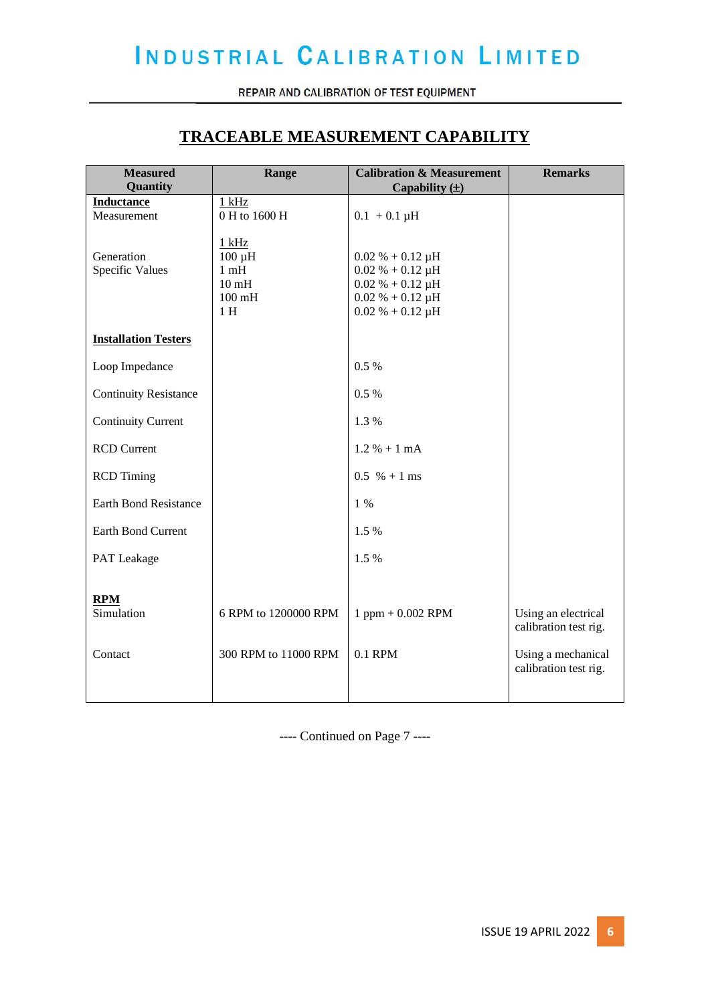REPAIR AND CALIBRATION OF TEST EQUIPMENT

### **TRACEABLE MEASUREMENT CAPABILITY**

| <b>Measured</b>                  | Range                                                                                  | <b>Calibration &amp; Measurement</b>                                                                                      | <b>Remarks</b>                               |
|----------------------------------|----------------------------------------------------------------------------------------|---------------------------------------------------------------------------------------------------------------------------|----------------------------------------------|
| Quantity                         |                                                                                        | Capability $(\pm)$                                                                                                        |                                              |
| <b>Inductance</b><br>Measurement | $1$ kHz<br>0 H to 1600 H                                                               | $0.1 + 0.1 \mu H$                                                                                                         |                                              |
| Generation<br>Specific Values    | $1$ kHz<br>$100 \mu H$<br>$1 \text{ mH}$<br>10 <sub>mH</sub><br>$100 \text{ mH}$<br>1H | $0.02 % + 0.12 \mu H$<br>$0.02 % + 0.12 \mu H$<br>$0.02 % + 0.12 \mu H$<br>$0.02 % + 0.12 \mu H$<br>$0.02 % + 0.12 \mu H$ |                                              |
| <b>Installation Testers</b>      |                                                                                        |                                                                                                                           |                                              |
| Loop Impedance                   |                                                                                        | 0.5%                                                                                                                      |                                              |
| <b>Continuity Resistance</b>     |                                                                                        | 0.5%                                                                                                                      |                                              |
| <b>Continuity Current</b>        |                                                                                        | 1.3%                                                                                                                      |                                              |
| <b>RCD Current</b>               |                                                                                        | $1.2 % + 1 mA$                                                                                                            |                                              |
| <b>RCD</b> Timing                |                                                                                        | $0.5 \% + 1 ms$                                                                                                           |                                              |
| <b>Earth Bond Resistance</b>     |                                                                                        | 1 %                                                                                                                       |                                              |
| <b>Earth Bond Current</b>        |                                                                                        | 1.5 %                                                                                                                     |                                              |
| PAT Leakage                      |                                                                                        | 1.5%                                                                                                                      |                                              |
| <b>RPM</b><br>Simulation         | 6 RPM to 1200000 RPM                                                                   | $1$ ppm $+ 0.002$ RPM                                                                                                     | Using an electrical<br>calibration test rig. |
| Contact                          | 300 RPM to 11000 RPM                                                                   | 0.1 RPM                                                                                                                   | Using a mechanical<br>calibration test rig.  |
|                                  |                                                                                        |                                                                                                                           |                                              |

---- Continued on Page 7 ----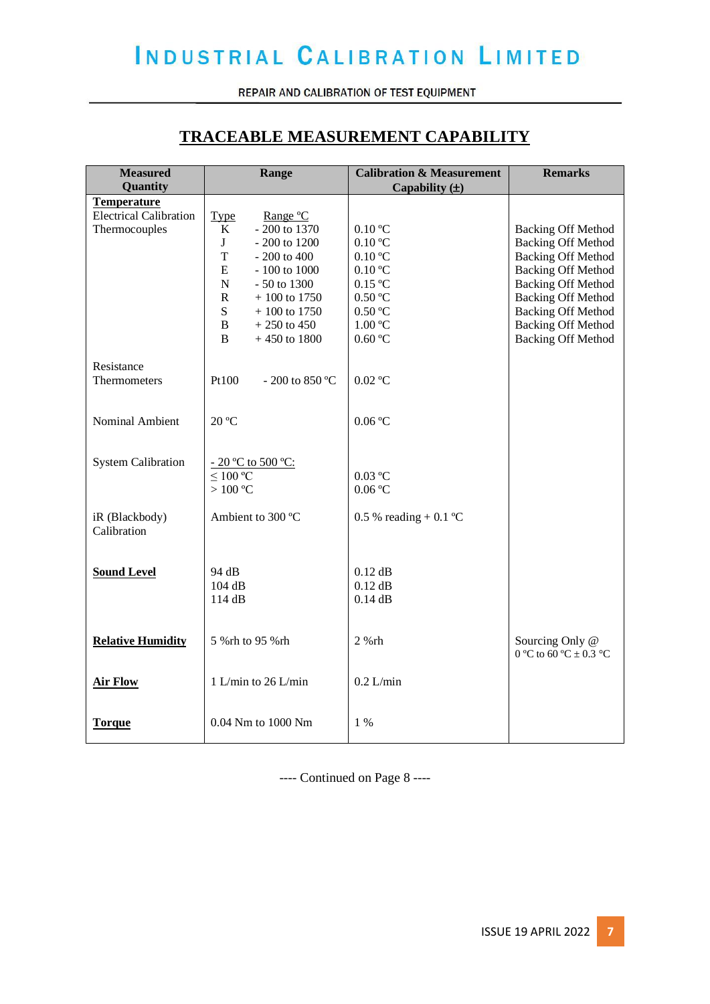REPAIR AND CALIBRATION OF TEST EQUIPMENT

### **TRACEABLE MEASUREMENT CAPABILITY**

| <b>Measured</b>               | Range                         | <b>Calibration &amp; Measurement</b> | <b>Remarks</b>             |
|-------------------------------|-------------------------------|--------------------------------------|----------------------------|
| Quantity                      |                               | Capability $(\pm)$                   |                            |
| <b>Temperature</b>            |                               |                                      |                            |
| <b>Electrical Calibration</b> | <b>Type</b><br>Range °C       |                                      |                            |
| Thermocouples                 | K<br>- 200 to 1370            | $0.10\text{ °C}$                     | <b>Backing Off Method</b>  |
|                               | J<br>- 200 to 1200            | $0.10\text{ °C}$                     | <b>Backing Off Method</b>  |
|                               | T<br>$-200$ to $400$          | $0.10\text{ °C}$                     | <b>Backing Off Method</b>  |
|                               | E<br>- 100 to 1000            | $0.10\text{ °C}$                     | <b>Backing Off Method</b>  |
|                               | ${\bf N}$<br>- 50 to 1300     | $0.15\text{ °C}$                     | <b>Backing Off Method</b>  |
|                               | $\mathbf R$<br>$+100$ to 1750 | 0.50 °C                              | <b>Backing Off Method</b>  |
|                               | S<br>$+100$ to 1750           | 0.50 °C                              | <b>Backing Off Method</b>  |
|                               | B<br>$+250$ to 450            | 1.00 °C                              | <b>Backing Off Method</b>  |
|                               | B<br>$+450$ to 1800           | 0.60 °C                              | <b>Backing Off Method</b>  |
|                               |                               |                                      |                            |
| Resistance                    |                               |                                      |                            |
| Thermometers                  | Pt100<br>$-200$ to 850 °C     | $0.02$ °C                            |                            |
|                               |                               |                                      |                            |
|                               |                               |                                      |                            |
| Nominal Ambient               | 20 °C                         | 0.06 °C                              |                            |
|                               |                               |                                      |                            |
| <b>System Calibration</b>     | - 20 °C to 500 °C:            |                                      |                            |
|                               | $\leq$ 100 °C                 | $0.03$ °C                            |                            |
|                               | $>100\text{ °C}$              | 0.06 °C                              |                            |
|                               |                               |                                      |                            |
| iR (Blackbody)                | Ambient to 300 °C             | 0.5 % reading + 0.1 °C               |                            |
| Calibration                   |                               |                                      |                            |
|                               |                               |                                      |                            |
|                               |                               |                                      |                            |
| <b>Sound Level</b>            | 94 dB                         | $0.12$ dB                            |                            |
|                               | 104 dB                        | $0.12$ dB                            |                            |
|                               | 114 dB                        | $0.14$ dB                            |                            |
|                               |                               |                                      |                            |
|                               |                               |                                      |                            |
| <b>Relative Humidity</b>      | 5 % rh to 95 % rh             | $2%$ rh                              | Sourcing Only @            |
|                               |                               |                                      | 0 °C to 60 °C $\pm$ 0.3 °C |
|                               |                               |                                      |                            |
| <b>Air Flow</b>               | 1 L/min to 26 L/min           | $0.2$ L/min                          |                            |
|                               |                               |                                      |                            |
|                               |                               |                                      |                            |
| <b>Torque</b>                 | 0.04 Nm to 1000 Nm            | $1\%$                                |                            |
|                               |                               |                                      |                            |

---- Continued on Page 8 ----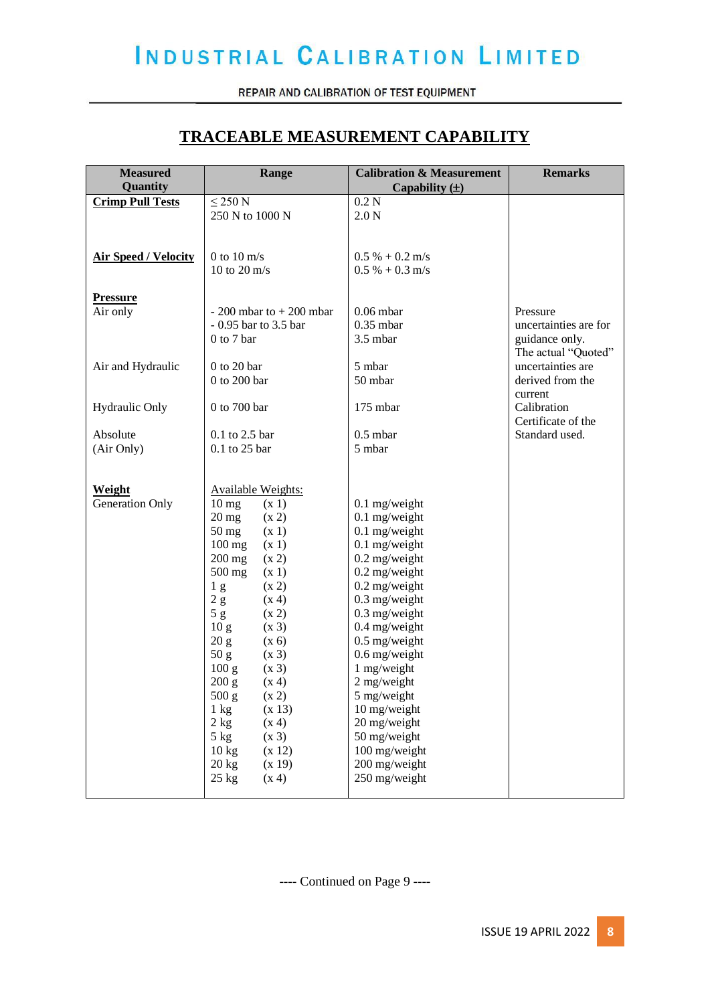REPAIR AND CALIBRATION OF TEST EQUIPMENT

### **TRACEABLE MEASUREMENT CAPABILITY**

| <b>Measured</b><br>Quantity | Range                               | <b>Calibration &amp; Measurement</b><br>Capability $(\pm)$ | <b>Remarks</b>        |
|-----------------------------|-------------------------------------|------------------------------------------------------------|-----------------------|
|                             | $\leq$ 250 N                        | 0.2N                                                       |                       |
| <b>Crimp Pull Tests</b>     | 250 N to 1000 N                     |                                                            |                       |
|                             |                                     | 2.0 <sub>N</sub>                                           |                       |
|                             |                                     |                                                            |                       |
| <b>Air Speed / Velocity</b> | 0 to 10 $m/s$                       | $0.5\% + 0.2 \text{ m/s}$                                  |                       |
|                             | 10 to 20 $m/s$                      | $0.5\% + 0.3 \text{ m/s}$                                  |                       |
|                             |                                     |                                                            |                       |
| <b>Pressure</b>             |                                     |                                                            |                       |
| Air only                    | $-200$ mbar to $+200$ mbar          | $0.06$ mbar                                                | Pressure              |
|                             | - 0.95 bar to 3.5 bar               | $0.35$ mbar                                                | uncertainties are for |
|                             | 0 to 7 bar                          | 3.5 mbar                                                   | guidance only.        |
|                             |                                     |                                                            | The actual "Quoted"   |
| Air and Hydraulic           | $0$ to 20 bar                       | 5 mbar                                                     | uncertainties are     |
|                             | 0 to 200 bar                        | 50 mbar                                                    | derived from the      |
|                             |                                     |                                                            | current               |
| Hydraulic Only              | 0 to 700 bar                        | 175 mbar                                                   | Calibration           |
|                             |                                     |                                                            | Certificate of the    |
| Absolute                    | 0.1 to 2.5 bar                      | $0.5$ mbar                                                 | Standard used.        |
| (Air Only)                  | 0.1 to 25 bar                       | 5 mbar                                                     |                       |
|                             |                                     |                                                            |                       |
|                             |                                     |                                                            |                       |
| Weight                      | Available Weights:                  |                                                            |                       |
| Generation Only             | 10 <sub>mg</sub><br>(x 1)           | $0.1$ mg/weight                                            |                       |
|                             | (x 2)<br>$20 \text{ mg}$            | $0.1$ mg/weight                                            |                       |
|                             | 50 mg<br>(x 1)                      | $0.1$ mg/weight                                            |                       |
|                             | $100$ mg<br>(x 1)                   | $0.1$ mg/weight                                            |                       |
|                             | $200$ mg<br>(x 2)                   | $0.2$ mg/weight                                            |                       |
|                             | 500 mg<br>(x 1)                     | $0.2$ mg/weight                                            |                       |
|                             | (x 2)<br>1 <sub>g</sub>             | 0.2 mg/weight                                              |                       |
|                             | 2 g<br>(x 4)                        | $0.3$ mg/weight                                            |                       |
|                             | 5g<br>(x 2)                         | $0.3$ mg/weight                                            |                       |
|                             | 10 <sub>g</sub><br>(x 3)            | 0.4 mg/weight                                              |                       |
|                             | 20 g<br>(x 6)                       | $0.5$ mg/weight                                            |                       |
|                             | 50 g<br>(x 3)                       | 0.6 mg/weight                                              |                       |
|                             | 100 g<br>(x 3)                      | 1 mg/weight                                                |                       |
|                             | 200 g<br>(x 4)                      | 2 mg/weight                                                |                       |
|                             | 500 g<br>(x 2)                      | 5 mg/weight                                                |                       |
|                             | (x 13)<br>$1\;{\rm kg}$             | 10 mg/weight                                               |                       |
|                             | 2 kg<br>(x 4)<br>(x 3)              | 20 mg/weight<br>50 mg/weight                               |                       |
|                             | $5$ kg<br>$10 \text{ kg}$<br>(x 12) | 100 mg/weight                                              |                       |
|                             | $20$ kg<br>(x 19)                   | 200 mg/weight                                              |                       |
|                             | $25$ kg<br>(x 4)                    | 250 mg/weight                                              |                       |
|                             |                                     |                                                            |                       |

---- Continued on Page 9 ----